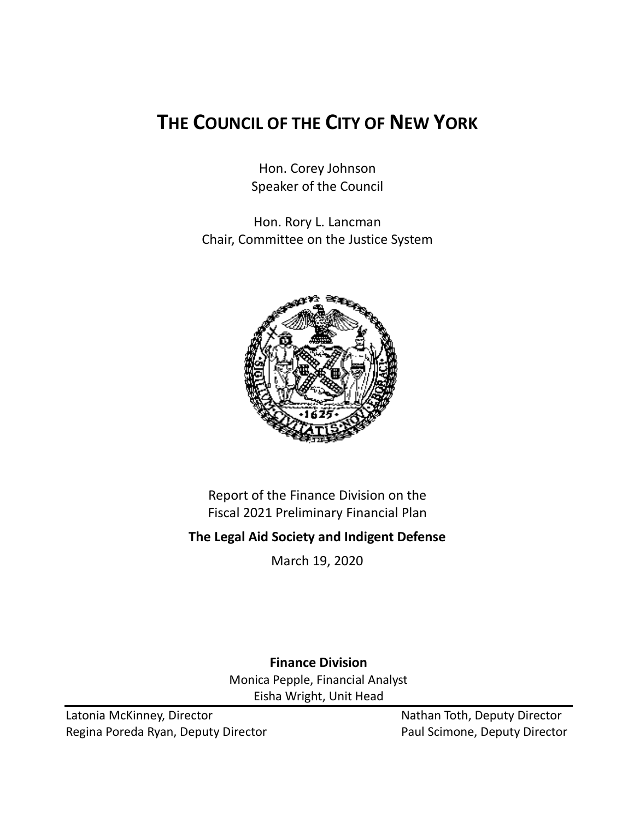# **THE COUNCIL OF THE CITY OF NEW YORK**

Hon. Corey Johnson Speaker of the Council

Hon. Rory L. Lancman Chair, Committee on the Justice System



Report of the Finance Division on the Fiscal 2021 Preliminary Financial Plan

**The Legal Aid Society and Indigent Defense**

March 19, 2020

**Finance Division** Monica Pepple, Financial Analyst Eisha Wright, Unit Head

Latonia McKinney, Director Nathan Toth, Deputy Director Regina Poreda Ryan, Deputy Director **Paul Scimone, Deputy Director**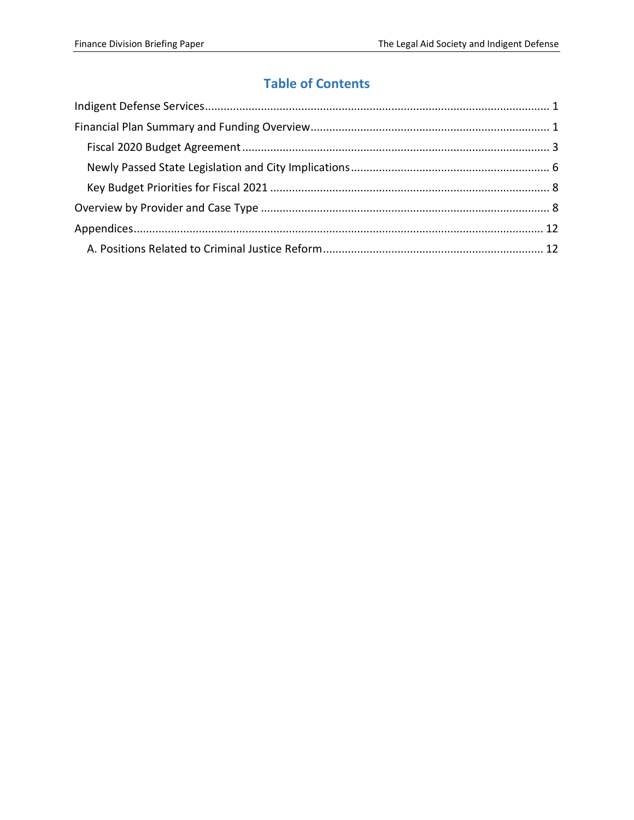# **Table of Contents**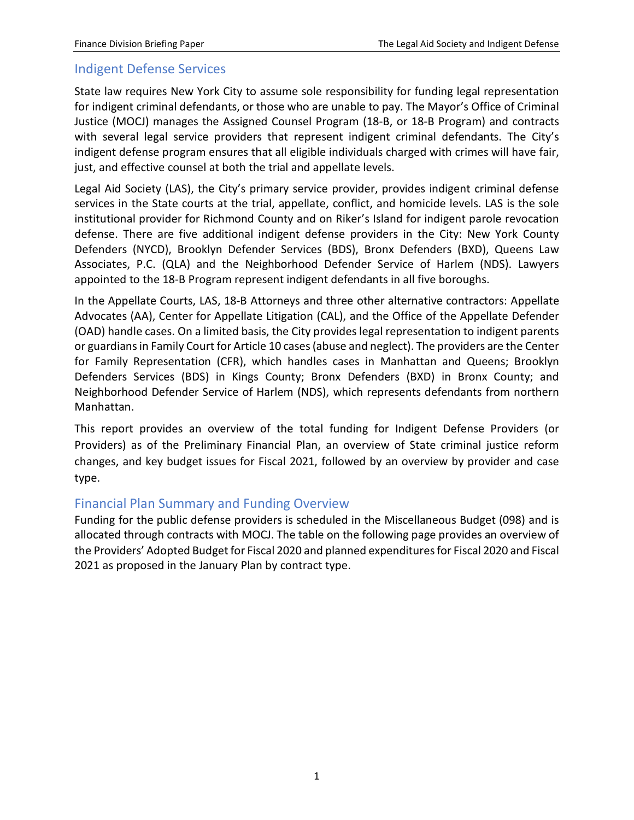# <span id="page-2-0"></span>Indigent Defense Services

State law requires New York City to assume sole responsibility for funding legal representation for indigent criminal defendants, or those who are unable to pay. The Mayor's Office of Criminal Justice (MOCJ) manages the Assigned Counsel Program (18-B, or 18-B Program) and contracts with several legal service providers that represent indigent criminal defendants. The City's indigent defense program ensures that all eligible individuals charged with crimes will have fair, just, and effective counsel at both the trial and appellate levels.

Legal Aid Society (LAS), the City's primary service provider, provides indigent criminal defense services in the State courts at the trial, appellate, conflict, and homicide levels. LAS is the sole institutional provider for Richmond County and on Riker's Island for indigent parole revocation defense. There are five additional indigent defense providers in the City: New York County Defenders (NYCD), Brooklyn Defender Services (BDS), Bronx Defenders (BXD), Queens Law Associates, P.C. (QLA) and the Neighborhood Defender Service of Harlem (NDS). Lawyers appointed to the 18-B Program represent indigent defendants in all five boroughs.

In the Appellate Courts, LAS, 18-B Attorneys and three other alternative contractors: Appellate Advocates (AA), Center for Appellate Litigation (CAL), and the Office of the Appellate Defender (OAD) handle cases. On a limited basis, the City provides legal representation to indigent parents or guardians in Family Court for Article 10 cases (abuse and neglect). The providers are the Center for Family Representation (CFR), which handles cases in Manhattan and Queens; Brooklyn Defenders Services (BDS) in Kings County; Bronx Defenders (BXD) in Bronx County; and Neighborhood Defender Service of Harlem (NDS), which represents defendants from northern Manhattan.

This report provides an overview of the total funding for Indigent Defense Providers (or Providers) as of the Preliminary Financial Plan, an overview of State criminal justice reform changes, and key budget issues for Fiscal 2021, followed by an overview by provider and case type.

# <span id="page-2-1"></span>Financial Plan Summary and Funding Overview

Funding for the public defense providers is scheduled in the Miscellaneous Budget (098) and is allocated through contracts with MOCJ. The table on the following page provides an overview of the Providers' Adopted Budget for Fiscal 2020 and planned expenditures for Fiscal 2020 and Fiscal 2021 as proposed in the January Plan by contract type.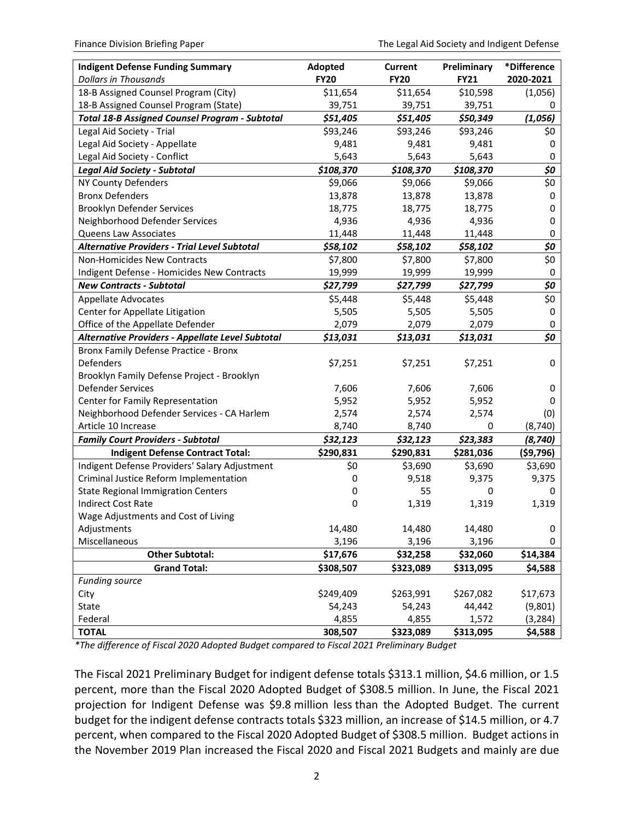| <b>Indigent Defense Funding Summary</b><br><b>Dollars in Thousands</b> | Adopted<br><b>FY20</b> | Current<br><b>FY20</b> | Preliminary<br><b>FY21</b> | *Difference<br>2020-2021 |
|------------------------------------------------------------------------|------------------------|------------------------|----------------------------|--------------------------|
| 18-B Assigned Counsel Program (City)                                   | \$11,654               | \$11,654               | \$10,598                   | (1,056)                  |
| 18-B Assigned Counsel Program (State)                                  | 39,751                 | 39,751                 | 39,751                     | 0                        |
| <b>Total 18-B Assigned Counsel Program - Subtotal</b>                  | \$51,405               | \$51,405               | \$50,349                   | (1,056)                  |
| Legal Aid Society - Trial                                              | \$93,246               | \$93,246               | \$93,246                   | \$0                      |
| Legal Aid Society - Appellate                                          | 9,481                  | 9,481                  | 9,481                      | 0                        |
| Legal Aid Society - Conflict                                           | 5,643                  | 5,643                  | 5,643                      | 0                        |
| <b>Legal Aid Society - Subtotal</b>                                    | \$108,370              | \$108,370              | \$108,370                  | \$0                      |
| NY County Defenders                                                    | \$9,066                | \$9,066                | \$9,066                    | \$0                      |
| <b>Bronx Defenders</b>                                                 | 13,878                 | 13,878                 | 13,878                     | 0                        |
| <b>Brooklyn Defender Services</b>                                      | 18,775                 | 18,775                 | 18,775                     | 0                        |
| Neighborhood Defender Services                                         | 4,936                  | 4,936                  | 4,936                      | 0                        |
| Queens Law Associates                                                  | 11,448                 | 11,448                 | 11,448                     | 0                        |
| <b>Alternative Providers - Trial Level Subtotal</b>                    | \$58,102               | \$58,102               | \$58,102                   | \$0                      |
| Non-Homicides New Contracts                                            | \$7,800                | \$7,800                | \$7,800                    | \$0                      |
| Indigent Defense - Homicides New Contracts                             | 19,999                 | 19,999                 | 19,999                     | 0                        |
| <b>New Contracts - Subtotal</b>                                        | \$27,799               | \$27,799               | \$27,799                   | \$0                      |
| <b>Appellate Advocates</b>                                             | \$5,448                | \$5,448                | \$5,448                    | \$0                      |
| Center for Appellate Litigation                                        | 5,505                  | 5,505                  | 5,505                      | 0                        |
| Office of the Appellate Defender                                       | 2,079                  | 2,079                  | 2,079                      | 0                        |
| Alternative Providers - Appellate Level Subtotal                       | \$13,031               | \$13,031               | \$13,031                   | \$0                      |
| Bronx Family Defense Practice - Bronx                                  |                        |                        |                            |                          |
| Defenders                                                              | \$7,251                | \$7,251                | \$7,251                    | 0                        |
| Brooklyn Family Defense Project - Brooklyn                             |                        |                        |                            |                          |
| <b>Defender Services</b>                                               | 7,606                  | 7,606                  | 7,606                      | 0                        |
| Center for Family Representation                                       | 5,952                  | 5,952                  | 5,952                      | 0                        |
| Neighborhood Defender Services - CA Harlem                             | 2,574                  | 2,574                  | 2,574                      | (0)                      |
| Article 10 Increase                                                    | 8,740                  | 8,740                  | 0                          | (8, 740)                 |
| <b>Family Court Providers - Subtotal</b>                               | \$32,123               | \$32,123               | \$23,383                   | (8, 740)                 |
| <b>Indigent Defense Contract Total:</b>                                | \$290,831              | \$290,831              | \$281,036                  | ( \$9,796)               |
| Indigent Defense Providers' Salary Adjustment                          | \$0                    | \$3,690                | \$3,690                    | \$3,690                  |
| Criminal Justice Reform Implementation                                 | 0                      | 9,518                  | 9,375                      | 9,375                    |
| <b>State Regional Immigration Centers</b>                              | 0                      | 55                     | 0                          | 0                        |
| <b>Indirect Cost Rate</b>                                              | 0                      | 1,319                  | 1,319                      | 1,319                    |
| Wage Adjustments and Cost of Living                                    |                        |                        |                            |                          |
| Adjustments                                                            | 14,480                 | 14,480                 | 14,480                     | 0                        |
| Miscellaneous                                                          | 3,196                  | 3,196                  | 3,196                      | 0                        |
| <b>Other Subtotal:</b>                                                 | \$17,676               | \$32,258               | \$32,060                   | \$14,384                 |
| <b>Grand Total:</b>                                                    | \$308,507              | \$323,089              | \$313,095                  | \$4,588                  |
| <b>Funding source</b>                                                  |                        |                        |                            |                          |
| City                                                                   | \$249,409              | \$263,991              | \$267,082                  | \$17,673                 |
| State                                                                  | 54,243                 | 54,243                 | 44,442                     | (9,801)                  |
| Federal                                                                | 4,855                  | 4,855                  | 1,572                      | (3, 284)                 |
| <b>TOTAL</b>                                                           | 308,507                | \$323,089              | \$313,095                  | \$4,588                  |

*\*The difference of Fiscal 2020 Adopted Budget compared to Fiscal 2021 Preliminary Budget*

The Fiscal 2021 Preliminary Budget for indigent defense totals \$313.1 million, \$4.6 million, or 1.5 percent, more than the Fiscal 2020 Adopted Budget of \$308.5 million. In June, the Fiscal 2021 projection for Indigent Defense was \$9.8 million less than the Adopted Budget. The current budget for the indigent defense contracts totals \$323 million, an increase of \$14.5 million, or 4.7 percent, when compared to the Fiscal 2020 Adopted Budget of \$308.5 million. Budget actions in the November 2019 Plan increased the Fiscal 2020 and Fiscal 2021 Budgets and mainly are due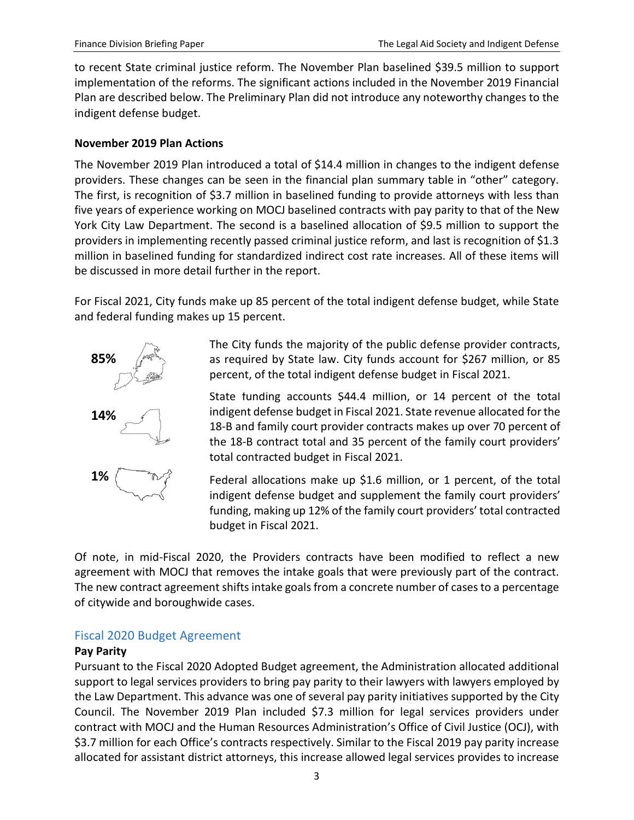to recent State criminal justice reform. The November Plan baselined \$39.5 million to support implementation of the reforms. The significant actions included in the November 2019 Financial Plan are described below. The Preliminary Plan did not introduce any noteworthy changes to the indigent defense budget.

### **November 2019 Plan Actions**

The November 2019 Plan introduced a total of \$14.4 million in changes to the indigent defense providers. These changes can be seen in the financial plan summary table in "other" category. The first, is recognition of \$3.7 million in baselined funding to provide attorneys with less than five years of experience working on MOCJ baselined contracts with pay parity to that of the New York City Law Department. The second is a baselined allocation of \$9.5 million to support the providers in implementing recently passed criminal justice reform, and last is recognition of \$1.3 million in baselined funding for standardized indirect cost rate increases. All of these items will be discussed in more detail further in the report.

For Fiscal 2021, City funds make up 85 percent of the total indigent defense budget, while State and federal funding makes up 15 percent.



The City funds the majority of the public defense provider contracts, as required by State law. City funds account for \$267 million, or 85 percent, of the total indigent defense budget in Fiscal 2021.

State funding accounts \$44.4 million, or 14 percent of the total indigent defense budget in Fiscal 2021. State revenue allocated for the 18-B and family court provider contracts makes up over 70 percent of the 18-B contract total and 35 percent of the family court providers' total contracted budget in Fiscal 2021.

Federal allocations make up \$1.6 million, or 1 percent, of the total indigent defense budget and supplement the family court providers' funding, making up 12% of the family court providers' total contracted budget in Fiscal 2021.

Of note, in mid-Fiscal 2020, the Providers contracts have been modified to reflect a new agreement with MOCJ that removes the intake goals that were previously part of the contract. The new contract agreement shifts intake goals from a concrete number of cases to a percentage of citywide and boroughwide cases.

## <span id="page-4-0"></span>Fiscal 2020 Budget Agreement

### **Pay Parity**

Pursuant to the Fiscal 2020 Adopted Budget agreement, the Administration allocated additional support to legal services providers to bring pay parity to their lawyers with lawyers employed by the Law Department. This advance was one of several pay parity initiatives supported by the City Council. The November 2019 Plan included \$7.3 million for legal services providers under contract with MOCJ and the Human Resources Administration's Office of Civil Justice (OCJ), with \$3.7 million for each Office's contracts respectively. Similar to the Fiscal 2019 pay parity increase allocated for assistant district attorneys, this increase allowed legal services provides to increase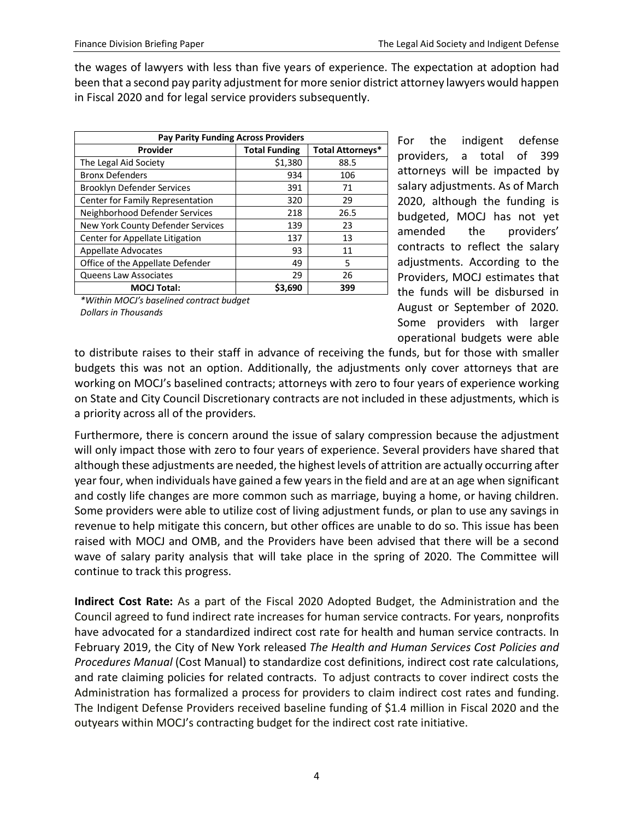the wages of lawyers with less than five years of experience. The expectation at adoption had been that a second pay parity adjustment for more senior district attorney lawyers would happen in Fiscal 2020 and for legal service providers subsequently.

| <b>Pay Parity Funding Across Providers</b> |                      |                         |  |  |  |  |
|--------------------------------------------|----------------------|-------------------------|--|--|--|--|
| Provider                                   | <b>Total Funding</b> | <b>Total Attorneys*</b> |  |  |  |  |
| The Legal Aid Society                      | \$1,380              | 88.5                    |  |  |  |  |
| <b>Bronx Defenders</b>                     | 934                  | 106                     |  |  |  |  |
| <b>Brooklyn Defender Services</b>          | 391                  | 71                      |  |  |  |  |
| Center for Family Representation           | 320                  | 29                      |  |  |  |  |
| Neighborhood Defender Services             | 218                  | 26.5                    |  |  |  |  |
| New York County Defender Services          | 139                  | 23                      |  |  |  |  |
| Center for Appellate Litigation            | 137                  | 13                      |  |  |  |  |
| <b>Appellate Advocates</b>                 | 93                   | 11                      |  |  |  |  |
| Office of the Appellate Defender           | 49                   | 5                       |  |  |  |  |
| <b>Queens Law Associates</b>               | 29                   | 26                      |  |  |  |  |
| <b>MOCJ Total:</b>                         | \$3.690              | 399                     |  |  |  |  |

*\*Within MOCJ's baselined contract budget Dollars in Thousands*

For the indigent defense providers, a total of 399 attorneys will be impacted by salary adjustments. As of March 2020, although the funding is budgeted, MOCJ has not yet amended the providers' contracts to reflect the salary adjustments. According to the Providers, MOCJ estimates that the funds will be disbursed in August or September of 2020. Some providers with larger operational budgets were able

to distribute raises to their staff in advance of receiving the funds, but for those with smaller budgets this was not an option. Additionally, the adjustments only cover attorneys that are working on MOCJ's baselined contracts; attorneys with zero to four years of experience working on State and City Council Discretionary contracts are not included in these adjustments, which is a priority across all of the providers.

Furthermore, there is concern around the issue of salary compression because the adjustment will only impact those with zero to four years of experience. Several providers have shared that although these adjustments are needed, the highest levels of attrition are actually occurring after year four, when individuals have gained a few years in the field and are at an age when significant and costly life changes are more common such as marriage, buying a home, or having children. Some providers were able to utilize cost of living adjustment funds, or plan to use any savings in revenue to help mitigate this concern, but other offices are unable to do so. This issue has been raised with MOCJ and OMB, and the Providers have been advised that there will be a second wave of salary parity analysis that will take place in the spring of 2020. The Committee will continue to track this progress.

**Indirect Cost Rate:** As a part of the Fiscal 2020 Adopted Budget, the Administration and the Council agreed to fund indirect rate increases for human service contracts. For years, nonprofits have advocated for a standardized indirect cost rate for health and human service contracts. In February 2019, the City of New York released *The Health and Human Services Cost Policies and Procedures Manual* (Cost Manual) to standardize cost definitions, indirect cost rate calculations, and rate claiming policies for related contracts. To adjust contracts to cover indirect costs the Administration has formalized a process for providers to claim indirect cost rates and funding. The Indigent Defense Providers received baseline funding of \$1.4 million in Fiscal 2020 and the outyears within MOCJ's contracting budget for the indirect cost rate initiative.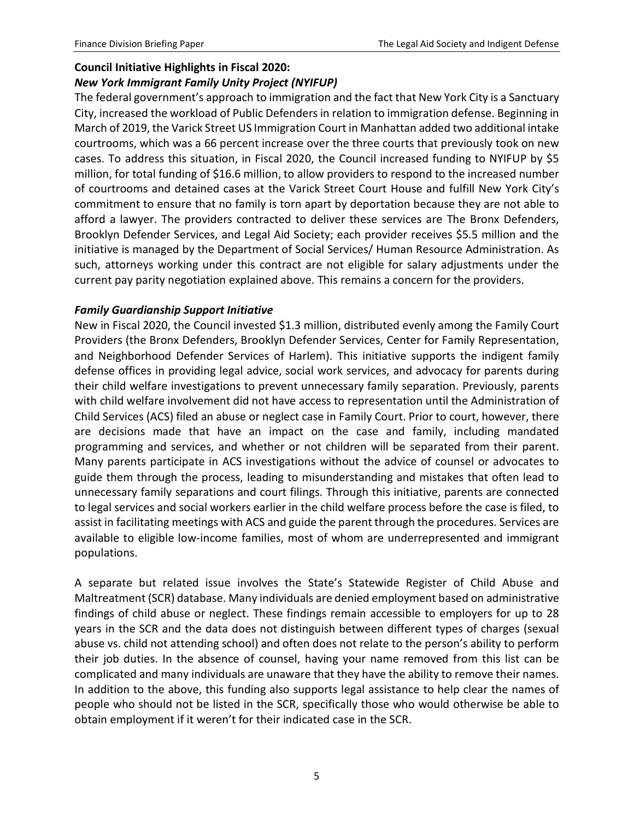# **Council Initiative Highlights in Fiscal 2020:**

# *New York Immigrant Family Unity Project (NYIFUP)*

The federal government's approach to immigration and the fact that New York City is a Sanctuary City, increased the workload of Public Defenders in relation to immigration defense. Beginning in March of 2019, the Varick Street US Immigration Court in Manhattan added two additional intake courtrooms, which was a 66 percent increase over the three courts that previously took on new cases. To address this situation, in Fiscal 2020, the Council increased funding to NYIFUP by \$5 million, for total funding of \$16.6 million, to allow providers to respond to the increased number of courtrooms and detained cases at the Varick Street Court House and fulfill New York City's commitment to ensure that no family is torn apart by deportation because they are not able to afford a lawyer. The providers contracted to deliver these services are The Bronx Defenders, Brooklyn Defender Services, and Legal Aid Society; each provider receives \$5.5 million and the initiative is managed by the Department of Social Services/ Human Resource Administration. As such, attorneys working under this contract are not eligible for salary adjustments under the current pay parity negotiation explained above. This remains a concern for the providers.

## *Family Guardianship Support Initiative*

New in Fiscal 2020, the Council invested \$1.3 million, distributed evenly among the Family Court Providers (the Bronx Defenders, Brooklyn Defender Services, Center for Family Representation, and Neighborhood Defender Services of Harlem). This initiative supports the indigent family defense offices in providing legal advice, social work services, and advocacy for parents during their child welfare investigations to prevent unnecessary family separation. Previously, parents with child welfare involvement did not have access to representation until the Administration of Child Services (ACS) filed an abuse or neglect case in Family Court. Prior to court, however, there are decisions made that have an impact on the case and family, including mandated programming and services, and whether or not children will be separated from their parent. Many parents participate in ACS investigations without the advice of counsel or advocates to guide them through the process, leading to misunderstanding and mistakes that often lead to unnecessary family separations and court filings. Through this initiative, parents are connected to legal services and social workers earlier in the child welfare process before the case is filed, to assist in facilitating meetings with ACS and guide the parent through the procedures. Services are available to eligible low-income families, most of whom are underrepresented and immigrant populations.

A separate but related issue involves the State's Statewide Register of Child Abuse and Maltreatment (SCR) database. Many individuals are denied employment based on administrative findings of child abuse or neglect. These findings remain accessible to employers for up to 28 years in the SCR and the data does not distinguish between different types of charges (sexual abuse vs. child not attending school) and often does not relate to the person's ability to perform their job duties. In the absence of counsel, having your name removed from this list can be complicated and many individuals are unaware that they have the ability to remove their names. In addition to the above, this funding also supports legal assistance to help clear the names of people who should not be listed in the SCR, specifically those who would otherwise be able to obtain employment if it weren't for their indicated case in the SCR.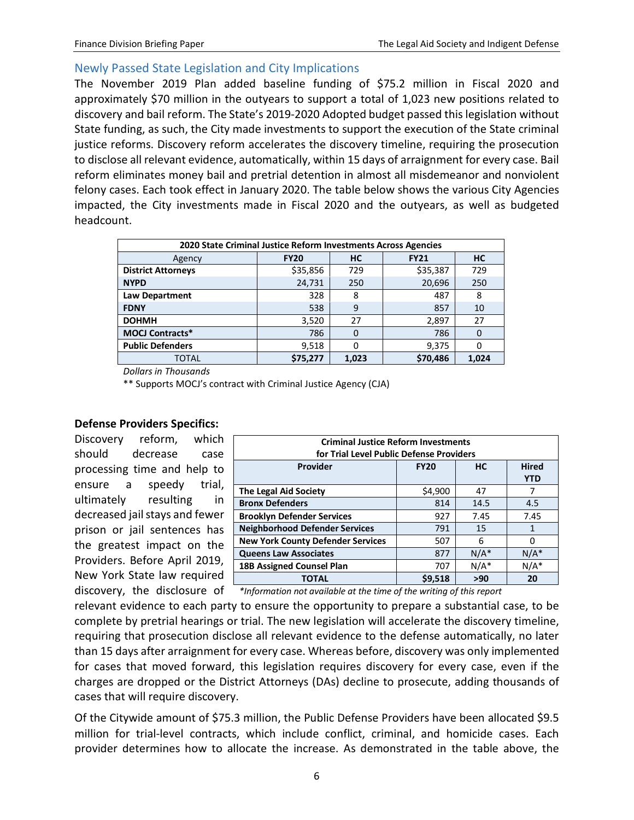## <span id="page-7-0"></span>Newly Passed State Legislation and City Implications

The November 2019 Plan added baseline funding of \$75.2 million in Fiscal 2020 and approximately \$70 million in the outyears to support a total of 1,023 new positions related to discovery and bail reform. The State's 2019-2020 Adopted budget passed this legislation without State funding, as such, the City made investments to support the execution of the State criminal justice reforms. Discovery reform accelerates the discovery timeline, requiring the prosecution to disclose all relevant evidence, automatically, within 15 days of arraignment for every case. Bail reform eliminates money bail and pretrial detention in almost all misdemeanor and nonviolent felony cases. Each took effect in January 2020. The table below shows the various City Agencies impacted, the City investments made in Fiscal 2020 and the outyears, as well as budgeted headcount.

| 2020 State Criminal Justice Reform Investments Across Agencies |             |       |             |           |  |  |  |  |
|----------------------------------------------------------------|-------------|-------|-------------|-----------|--|--|--|--|
| Agency                                                         | <b>FY20</b> | HС    | <b>FY21</b> | <b>HC</b> |  |  |  |  |
| <b>District Attorneys</b>                                      | \$35,856    | 729   | \$35,387    | 729       |  |  |  |  |
| <b>NYPD</b>                                                    | 24,731      | 250   | 20,696      | 250       |  |  |  |  |
| Law Department                                                 | 328         | 8     | 487         | 8         |  |  |  |  |
| <b>FDNY</b>                                                    | 538         | 9     | 857         | 10        |  |  |  |  |
| <b>DOHMH</b>                                                   | 3,520       | 27    | 2,897       | 27        |  |  |  |  |
| <b>MOCJ Contracts*</b>                                         | 786         | 0     | 786         | $\Omega$  |  |  |  |  |
| <b>Public Defenders</b>                                        | 9,518       | 0     | 9,375       | 0         |  |  |  |  |
| TOTAL                                                          | \$75,277    | 1.023 | \$70,486    | 1.024     |  |  |  |  |

*Dollars in Thousands*

\*\* Supports MOCJ's contract with Criminal Justice Agency (CJA)

### **Defense Providers Specifics:**

Discovery reform, which should decrease case processing time and help to ensure a speedy trial, ultimately resulting in decreased jail stays and fewer prison or jail sentences has the greatest impact on the Providers. Before April 2019, New York State law required discovery, the disclosure of

| <b>Criminal Justice Reform Investments</b><br>for Trial Level Public Defense Providers |         |         |         |  |  |  |  |
|----------------------------------------------------------------------------------------|---------|---------|---------|--|--|--|--|
| <b>Hired</b><br><b>Provider</b><br><b>HC</b><br><b>FY20</b><br><b>YTD</b>              |         |         |         |  |  |  |  |
| <b>The Legal Aid Society</b>                                                           | \$4,900 | 47      | 7       |  |  |  |  |
| <b>Bronx Defenders</b>                                                                 | 814     | 14.5    | 4.5     |  |  |  |  |
| <b>Brooklyn Defender Services</b>                                                      | 927     | 7.45    | 7.45    |  |  |  |  |
| <b>Neighborhood Defender Services</b>                                                  | 791     | 15      | 1       |  |  |  |  |
| <b>New York County Defender Services</b>                                               | 507     | 6       | 0       |  |  |  |  |
| <b>Queens Law Associates</b>                                                           | 877     | $N/A^*$ | $N/A^*$ |  |  |  |  |
| 18B Assigned Counsel Plan                                                              | 707     | $N/A^*$ | $N/A^*$ |  |  |  |  |
| ΤΟΤΑL                                                                                  | \$9.518 | >90     | 20      |  |  |  |  |

*\*Information not available at the time of the writing of this report*

relevant evidence to each party to ensure the opportunity to prepare a substantial case, to be complete by pretrial hearings or trial. The new legislation will accelerate the discovery timeline, requiring that prosecution disclose all relevant evidence to the defense automatically, no later than 15 days after arraignment for every case. Whereas before, discovery was only implemented for cases that moved forward, this legislation requires discovery for every case, even if the charges are dropped or the District Attorneys (DAs) decline to prosecute, adding thousands of cases that will require discovery.

Of the Citywide amount of \$75.3 million, the Public Defense Providers have been allocated \$9.5 million for trial-level contracts, which include conflict, criminal, and homicide cases. Each provider determines how to allocate the increase. As demonstrated in the table above, the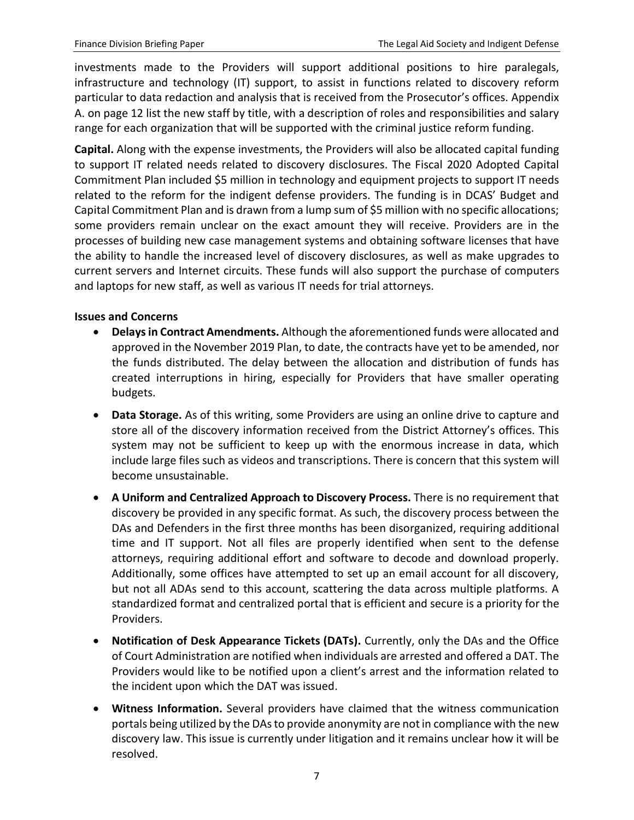investments made to the Providers will support additional positions to hire paralegals, infrastructure and technology (IT) support, to assist in functions related to discovery reform particular to data redaction and analysis that is received from the Prosecutor's offices. Appendix A. on page 12 list the new staff by title, with a description of roles and responsibilities and salary range for each organization that will be supported with the criminal justice reform funding.

**Capital.** Along with the expense investments, the Providers will also be allocated capital funding to support IT related needs related to discovery disclosures. The Fiscal 2020 Adopted Capital Commitment Plan included \$5 million in technology and equipment projects to support IT needs related to the reform for the indigent defense providers. The funding is in DCAS' Budget and Capital Commitment Plan and is drawn from a lump sum of \$5 million with no specific allocations; some providers remain unclear on the exact amount they will receive. Providers are in the processes of building new case management systems and obtaining software licenses that have the ability to handle the increased level of discovery disclosures, as well as make upgrades to current servers and Internet circuits. These funds will also support the purchase of computers and laptops for new staff, as well as various IT needs for trial attorneys.

### **Issues and Concerns**

- **Delays in Contract Amendments.** Although the aforementioned funds were allocated and approved in the November 2019 Plan, to date, the contracts have yet to be amended, nor the funds distributed. The delay between the allocation and distribution of funds has created interruptions in hiring, especially for Providers that have smaller operating budgets.
- **Data Storage.** As of this writing, some Providers are using an online drive to capture and store all of the discovery information received from the District Attorney's offices. This system may not be sufficient to keep up with the enormous increase in data, which include large files such as videos and transcriptions. There is concern that this system will become unsustainable.
- **A Uniform and Centralized Approach to Discovery Process.** There is no requirement that discovery be provided in any specific format. As such, the discovery process between the DAs and Defenders in the first three months has been disorganized, requiring additional time and IT support. Not all files are properly identified when sent to the defense attorneys, requiring additional effort and software to decode and download properly. Additionally, some offices have attempted to set up an email account for all discovery, but not all ADAs send to this account, scattering the data across multiple platforms. A standardized format and centralized portal that is efficient and secure is a priority for the Providers.
- **Notification of Desk Appearance Tickets (DATs).** Currently, only the DAs and the Office of Court Administration are notified when individuals are arrested and offered a DAT. The Providers would like to be notified upon a client's arrest and the information related to the incident upon which the DAT was issued.
- **Witness Information.** Several providers have claimed that the witness communication portals being utilized by the DAs to provide anonymity are not in compliance with the new discovery law. This issue is currently under litigation and it remains unclear how it will be resolved.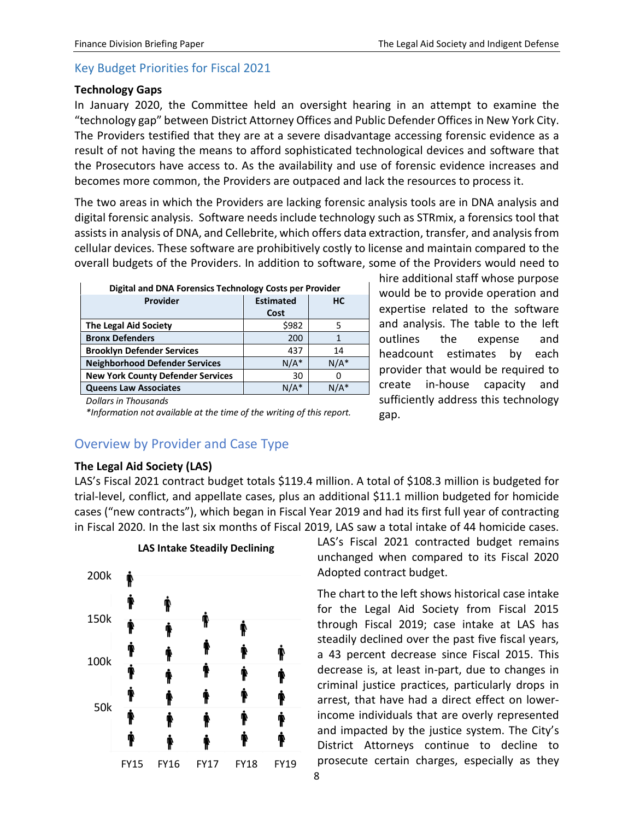# <span id="page-9-0"></span>Key Budget Priorities for Fiscal 2021

#### **Technology Gaps**

In January 2020, the Committee held an oversight hearing in an attempt to examine the "technology gap" between District Attorney Offices and Public Defender Offices in New York City. The Providers testified that they are at a severe disadvantage accessing forensic evidence as a result of not having the means to afford sophisticated technological devices and software that the Prosecutors have access to. As the availability and use of forensic evidence increases and becomes more common, the Providers are outpaced and lack the resources to process it.

The two areas in which the Providers are lacking forensic analysis tools are in DNA analysis and digital forensic analysis. Software needs include technology such as STRmix, a forensics tool that assists in analysis of DNA, and Cellebrite, which offers data extraction, transfer, and analysis from cellular devices. These software are prohibitively costly to license and maintain compared to the overall budgets of the Providers. In addition to software, some of the Providers would need to

| Digital and DNA Forensics Technology Costs per Provider |                  |           |  |  |  |
|---------------------------------------------------------|------------------|-----------|--|--|--|
| Provider                                                | <b>Estimated</b> | <b>HC</b> |  |  |  |
|                                                         | Cost             |           |  |  |  |
| <b>The Legal Aid Society</b>                            | \$982            |           |  |  |  |
| <b>Bronx Defenders</b>                                  | 200              |           |  |  |  |
| <b>Brooklyn Defender Services</b>                       | 437              | 14        |  |  |  |
| <b>Neighborhood Defender Services</b>                   | $N/A^*$          | $N/A^*$   |  |  |  |
| <b>New York County Defender Services</b>                | 30               |           |  |  |  |
| <b>Queens Law Associates</b>                            | $N/A^*$          | N/A*      |  |  |  |

hire additional staff whose purpose would be to provide operation and expertise related to the software and analysis. The table to the left outlines the expense and headcount estimates by each provider that would be required to create in-house capacity and sufficiently address this technology gap.

*Dollars in Thousands*

*\*Information not available at the time of the writing of this report.*

# <span id="page-9-1"></span>Overview by Provider and Case Type

## **The Legal Aid Society (LAS)**

LAS's Fiscal 2021 contract budget totals \$119.4 million. A total of \$108.3 million is budgeted for trial-level, conflict, and appellate cases, plus an additional \$11.1 million budgeted for homicide cases ("new contracts"), which began in Fiscal Year 2019 and had its first full year of contracting in Fiscal 2020. In the last six months of Fiscal 2019, LAS saw a total intake of 44 homicide cases.



LAS's Fiscal 2021 contracted budget remains unchanged when compared to its Fiscal 2020 Adopted contract budget.

The chart to the left shows historical case intake for the Legal Aid Society from Fiscal 2015 through Fiscal 2019; case intake at LAS has steadily declined over the past five fiscal years, a 43 percent decrease since Fiscal 2015. This decrease is, at least in-part, due to changes in criminal justice practices, particularly drops in arrest, that have had a direct effect on lowerincome individuals that are overly represented and impacted by the justice system. The City's District Attorneys continue to decline to prosecute certain charges, especially as they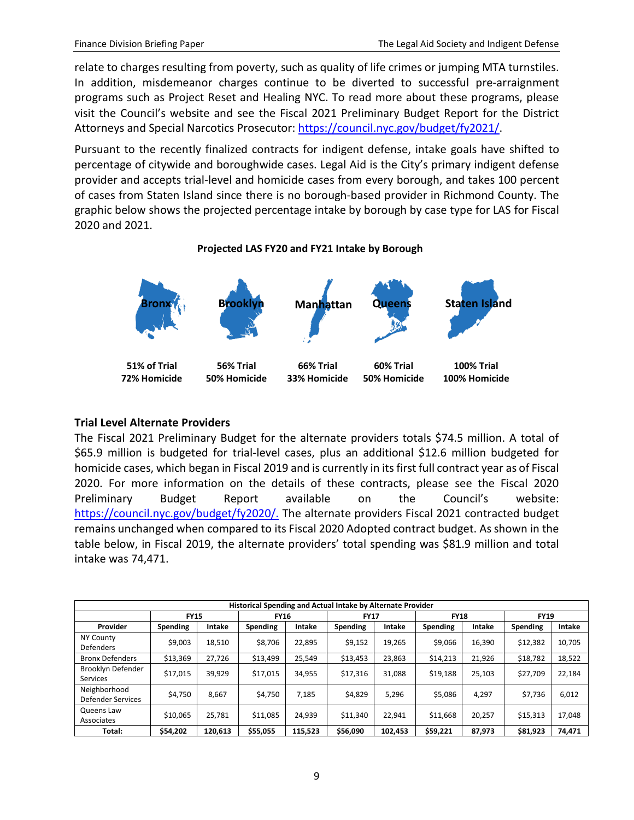relate to charges resulting from poverty, such as quality of life crimes or jumping MTA turnstiles. In addition, misdemeanor charges continue to be diverted to successful pre-arraignment programs such as Project Reset and Healing NYC. To read more about these programs, please visit the Council's website and see the Fiscal 2021 Preliminary Budget Report for the District Attorneys and Special Narcotics Prosecutor: [https://council.nyc.gov/budget/fy2021/.](https://council.nyc.gov/budget/fy2021/)

Pursuant to the recently finalized contracts for indigent defense, intake goals have shifted to percentage of citywide and boroughwide cases. Legal Aid is the City's primary indigent defense provider and accepts trial-level and homicide cases from every borough, and takes 100 percent of cases from Staten Island since there is no borough-based provider in Richmond County. The graphic below shows the projected percentage intake by borough by case type for LAS for Fiscal 2020 and 2021.

#### **Projected LAS FY20 and FY21 Intake by Borough**



## **Trial Level Alternate Providers**

The Fiscal 2021 Preliminary Budget for the alternate providers totals \$74.5 million. A total of \$65.9 million is budgeted for trial-level cases, plus an additional \$12.6 million budgeted for homicide cases, which began in Fiscal 2019 and is currently in its first full contract year as of Fiscal 2020. For more information on the details of these contracts, please see the Fiscal 2020 Preliminary Budget Report available on the Council's website: [https://council.nyc.gov/budget/fy2020/.](https://council.nyc.gov/budget/fy2020/) The alternate providers Fiscal 2021 contracted budget remains unchanged when compared to its Fiscal 2020 Adopted contract budget. As shown in the table below, in Fiscal 2019, the alternate providers' total spending was \$81.9 million and total intake was 74,471.

| Historical Spending and Actual Intake by Alternate Provider |             |         |             |         |             |         |             |        |             |        |
|-------------------------------------------------------------|-------------|---------|-------------|---------|-------------|---------|-------------|--------|-------------|--------|
|                                                             | <b>FY15</b> |         | <b>FY16</b> |         | <b>FY17</b> |         | <b>FY18</b> |        | <b>FY19</b> |        |
| Provider                                                    | Spending    | Intake  | Spending    | Intake  | Spending    | Intake  | Spending    | Intake | Spending    | Intake |
| <b>NY County</b><br><b>Defenders</b>                        | \$9,003     | 18,510  | \$8,706     | 22,895  | \$9,152     | 19,265  | \$9,066     | 16,390 | \$12,382    | 10,705 |
| <b>Bronx Defenders</b>                                      | \$13,369    | 27,726  | \$13,499    | 25.549  | \$13,453    | 23,863  | \$14,213    | 21,926 | \$18,782    | 18,522 |
| Brooklyn Defender<br><b>Services</b>                        | \$17,015    | 39,929  | \$17,015    | 34.955  | \$17,316    | 31.088  | \$19,188    | 25,103 | \$27,709    | 22,184 |
| Neighborhood<br><b>Defender Services</b>                    | \$4,750     | 8,667   | \$4,750     | 7,185   | \$4,829     | 5,296   | \$5,086     | 4,297  | \$7,736     | 6,012  |
| Queens Law<br>Associates                                    | \$10,065    | 25,781  | \$11.085    | 24,939  | \$11,340    | 22.941  | \$11,668    | 20,257 | \$15,313    | 17,048 |
| Total:                                                      | \$54,202    | 120,613 | \$55,055    | 115,523 | \$56,090    | 102,453 | \$59,221    | 87,973 | \$81,923    | 74,471 |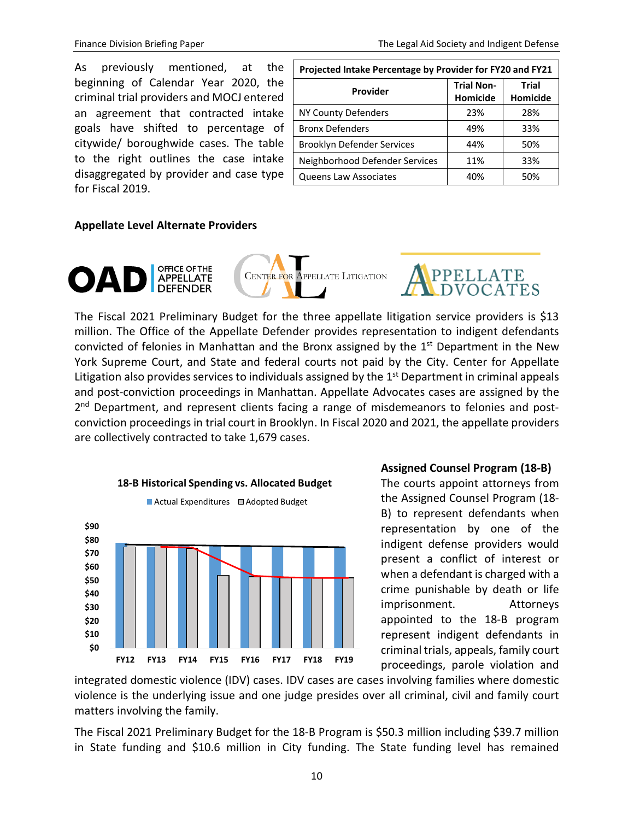As previously mentioned, at the beginning of Calendar Year 2020, the criminal trial providers and MOCJ entered an agreement that contracted intake goals have shifted to percentage of citywide/ boroughwide cases. The table to the right outlines the case intake disaggregated by provider and case type for Fiscal 2019.

| Projected Intake Percentage by Provider for FY20 and FY21 |                               |                          |  |  |  |
|-----------------------------------------------------------|-------------------------------|--------------------------|--|--|--|
| Provider                                                  | <b>Trial Non-</b><br>Homicide | Trial<br><b>Homicide</b> |  |  |  |
| NY County Defenders                                       | 23%                           | 28%                      |  |  |  |
| <b>Bronx Defenders</b>                                    | 49%                           | 33%                      |  |  |  |
| Brooklyn Defender Services                                | 44%                           | 50%                      |  |  |  |
| Neighborhood Defender Services                            | 11%                           | 33%                      |  |  |  |
| <b>Queens Law Associates</b>                              | 40%                           | 50%                      |  |  |  |

#### **Appellate Level Alternate Providers**



The Fiscal 2021 Preliminary Budget for the three appellate litigation service providers is \$13 million. The Office of the Appellate Defender provides representation to indigent defendants convicted of felonies in Manhattan and the Bronx assigned by the  $1<sup>st</sup>$  Department in the New York Supreme Court, and State and federal courts not paid by the City. Center for Appellate Litigation also provides services to individuals assigned by the  $1<sup>st</sup>$  Department in criminal appeals and post-conviction proceedings in Manhattan. Appellate Advocates cases are assigned by the 2<sup>nd</sup> Department, and represent clients facing a range of misdemeanors to felonies and postconviction proceedings in trial court in Brooklyn. In Fiscal 2020 and 2021, the appellate providers are collectively contracted to take 1,679 cases.



### **Assigned Counsel Program (18-B)**

The courts appoint attorneys from the Assigned Counsel Program (18- B) to represent defendants when representation by one of the indigent defense providers would present a conflict of interest or when a defendant is charged with a crime punishable by death or life imprisonment. Attorneys appointed to the 18-B program represent indigent defendants in criminal trials, appeals, family court proceedings, parole violation and

integrated domestic violence (IDV) cases. IDV cases are cases involving families where domestic violence is the underlying issue and one judge presides over all criminal, civil and family court matters involving the family.

The Fiscal 2021 Preliminary Budget for the 18-B Program is \$50.3 million including \$39.7 million in State funding and \$10.6 million in City funding. The State funding level has remained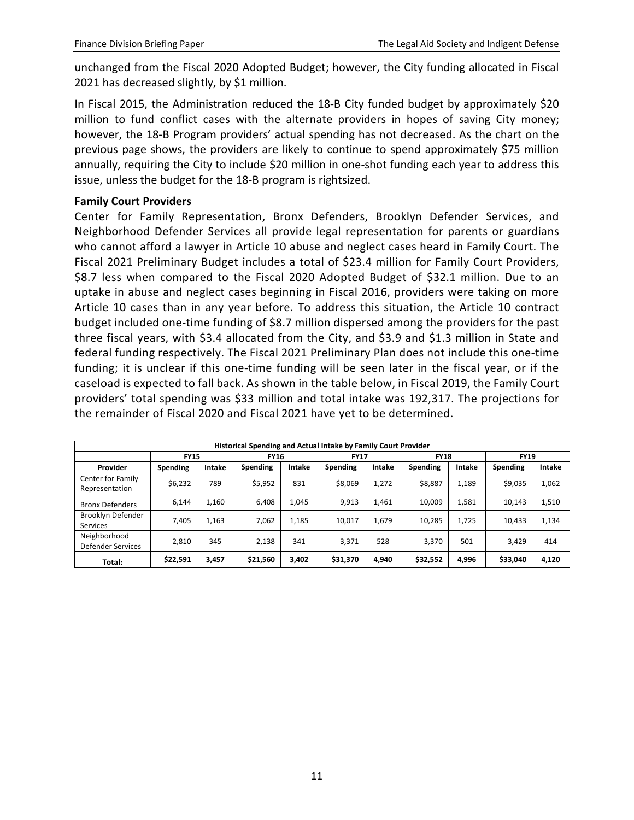unchanged from the Fiscal 2020 Adopted Budget; however, the City funding allocated in Fiscal 2021 has decreased slightly, by \$1 million.

In Fiscal 2015, the Administration reduced the 18-B City funded budget by approximately \$20 million to fund conflict cases with the alternate providers in hopes of saving City money; however, the 18-B Program providers' actual spending has not decreased. As the chart on the previous page shows, the providers are likely to continue to spend approximately \$75 million annually, requiring the City to include \$20 million in one-shot funding each year to address this issue, unless the budget for the 18-B program is rightsized.

#### **Family Court Providers**

Center for Family Representation, Bronx Defenders, Brooklyn Defender Services, and Neighborhood Defender Services all provide legal representation for parents or guardians who cannot afford a lawyer in Article 10 abuse and neglect cases heard in Family Court. The Fiscal 2021 Preliminary Budget includes a total of \$23.4 million for Family Court Providers, \$8.7 less when compared to the Fiscal 2020 Adopted Budget of \$32.1 million. Due to an uptake in abuse and neglect cases beginning in Fiscal 2016, providers were taking on more Article 10 cases than in any year before. To address this situation, the Article 10 contract budget included one-time funding of \$8.7 million dispersed among the providers for the past three fiscal years, with \$3.4 allocated from the City, and \$3.9 and \$1.3 million in State and federal funding respectively. The Fiscal 2021 Preliminary Plan does not include this one-time funding; it is unclear if this one-time funding will be seen later in the fiscal year, or if the caseload is expected to fall back. As shown in the table below, in Fiscal 2019, the Family Court providers' total spending was \$33 million and total intake was 192,317. The projections for the remainder of Fiscal 2020 and Fiscal 2021 have yet to be determined.

| Historical Spending and Actual Intake by Family Court Provider |                 |        |             |        |             |        |             |        |             |        |
|----------------------------------------------------------------|-----------------|--------|-------------|--------|-------------|--------|-------------|--------|-------------|--------|
|                                                                | <b>FY15</b>     |        | <b>FY16</b> |        | <b>FY17</b> |        | <b>FY18</b> |        | <b>FY19</b> |        |
| Provider                                                       | <b>Spending</b> | Intake | Spending    | Intake | Spending    | Intake | Spending    | Intake | Spending    | Intake |
| Center for Family<br>Representation                            | \$6,232         | 789    | \$5,952     | 831    | \$8,069     | 1,272  | \$8,887     | 1,189  | \$9,035     | 1,062  |
| <b>Bronx Defenders</b>                                         | 6,144           | 1.160  | 6,408       | 1,045  | 9,913       | 1,461  | 10,009      | 1,581  | 10.143      | 1,510  |
| Brooklyn Defender<br><b>Services</b>                           | 7,405           | 1,163  | 7,062       | 1,185  | 10,017      | 1,679  | 10,285      | 1,725  | 10.433      | 1,134  |
| Neighborhood<br><b>Defender Services</b>                       | 2.810           | 345    | 2,138       | 341    | 3.371       | 528    | 3.370       | 501    | 3.429       | 414    |
| Total:                                                         | \$22,591        | 3,457  | \$21,560    | 3,402  | \$31,370    | 4,940  | \$32,552    | 4,996  | \$33,040    | 4,120  |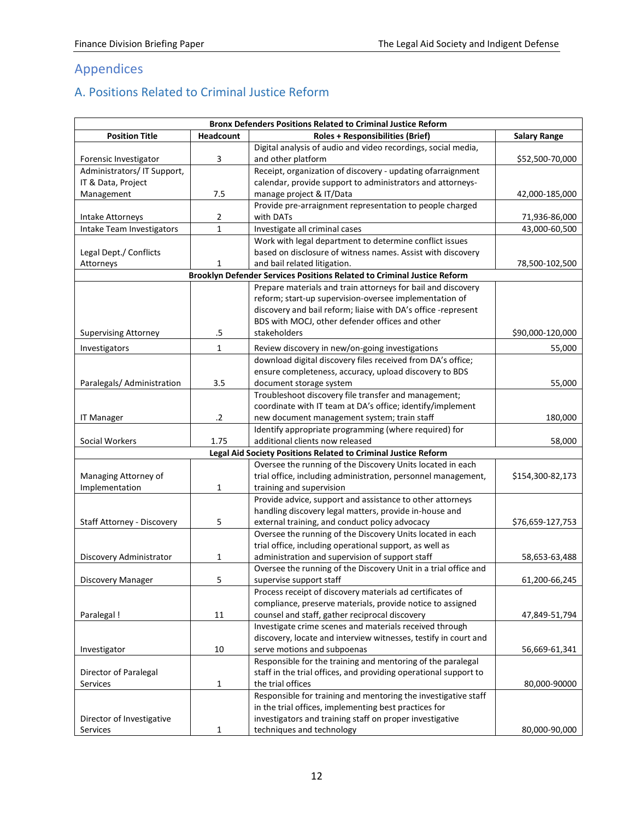# <span id="page-13-0"></span>Appendices

# <span id="page-13-1"></span>A. Positions Related to Criminal Justice Reform

| <b>Bronx Defenders Positions Related to Criminal Justice Reform</b> |                  |                                                                         |                     |  |  |  |  |
|---------------------------------------------------------------------|------------------|-------------------------------------------------------------------------|---------------------|--|--|--|--|
| <b>Position Title</b>                                               | <b>Headcount</b> | <b>Roles + Responsibilities (Brief)</b>                                 | <b>Salary Range</b> |  |  |  |  |
|                                                                     |                  | Digital analysis of audio and video recordings, social media,           |                     |  |  |  |  |
| Forensic Investigator                                               | 3                | and other platform                                                      | \$52,500-70,000     |  |  |  |  |
| Administrators/IT Support,                                          |                  | Receipt, organization of discovery - updating ofarraignment             |                     |  |  |  |  |
| IT & Data, Project                                                  |                  | calendar, provide support to administrators and attorneys-              |                     |  |  |  |  |
| Management                                                          | 7.5              | manage project & IT/Data                                                | 42,000-185,000      |  |  |  |  |
|                                                                     |                  | Provide pre-arraignment representation to people charged                |                     |  |  |  |  |
| Intake Attorneys                                                    | 2                | with DATs                                                               | 71,936-86,000       |  |  |  |  |
| Intake Team Investigators                                           | $\mathbf{1}$     | Investigate all criminal cases                                          | 43,000-60,500       |  |  |  |  |
|                                                                     |                  | Work with legal department to determine conflict issues                 |                     |  |  |  |  |
| Legal Dept./ Conflicts                                              |                  | based on disclosure of witness names. Assist with discovery             |                     |  |  |  |  |
| Attorneys                                                           | 1                | and bail related litigation.                                            | 78,500-102,500      |  |  |  |  |
|                                                                     |                  | Brooklyn Defender Services Positions Related to Criminal Justice Reform |                     |  |  |  |  |
|                                                                     |                  | Prepare materials and train attorneys for bail and discovery            |                     |  |  |  |  |
|                                                                     |                  | reform; start-up supervision-oversee implementation of                  |                     |  |  |  |  |
|                                                                     |                  | discovery and bail reform; liaise with DA's office -represent           |                     |  |  |  |  |
|                                                                     |                  | BDS with MOCJ, other defender offices and other                         |                     |  |  |  |  |
| <b>Supervising Attorney</b>                                         | .5               | stakeholders                                                            | \$90,000-120,000    |  |  |  |  |
| Investigators                                                       | 1                | Review discovery in new/on-going investigations                         | 55,000              |  |  |  |  |
|                                                                     |                  | download digital discovery files received from DA's office;             |                     |  |  |  |  |
|                                                                     |                  | ensure completeness, accuracy, upload discovery to BDS                  |                     |  |  |  |  |
| Paralegals/ Administration                                          | 3.5              | document storage system                                                 | 55,000              |  |  |  |  |
|                                                                     |                  | Troubleshoot discovery file transfer and management;                    |                     |  |  |  |  |
|                                                                     |                  |                                                                         |                     |  |  |  |  |
|                                                                     |                  | coordinate with IT team at DA's office; identify/implement              |                     |  |  |  |  |
| <b>IT Manager</b>                                                   | $\cdot$ .2       | new document management system; train staff                             | 180,000             |  |  |  |  |
|                                                                     |                  | Identify appropriate programming (where required) for                   |                     |  |  |  |  |
| Social Workers                                                      | 1.75             | additional clients now released                                         | 58,000              |  |  |  |  |
|                                                                     |                  | Legal Aid Society Positions Related to Criminal Justice Reform          |                     |  |  |  |  |
|                                                                     |                  | Oversee the running of the Discovery Units located in each              |                     |  |  |  |  |
| Managing Attorney of                                                |                  | trial office, including administration, personnel management,           | \$154,300-82,173    |  |  |  |  |
| Implementation                                                      | 1                | training and supervision                                                |                     |  |  |  |  |
|                                                                     |                  | Provide advice, support and assistance to other attorneys               |                     |  |  |  |  |
|                                                                     |                  | handling discovery legal matters, provide in-house and                  |                     |  |  |  |  |
| Staff Attorney - Discovery                                          | 5                | external training, and conduct policy advocacy                          | \$76,659-127,753    |  |  |  |  |
|                                                                     |                  | Oversee the running of the Discovery Units located in each              |                     |  |  |  |  |
|                                                                     |                  | trial office, including operational support, as well as                 |                     |  |  |  |  |
| Discovery Administrator                                             | 1                | administration and supervision of support staff                         | 58,653-63,488       |  |  |  |  |
|                                                                     |                  | Oversee the running of the Discovery Unit in a trial office and         |                     |  |  |  |  |
| Discovery Manager                                                   | 5                | supervise support staff                                                 | 61,200-66,245       |  |  |  |  |
|                                                                     |                  | Process receipt of discovery materials ad certificates of               |                     |  |  |  |  |
|                                                                     |                  | compliance, preserve materials, provide notice to assigned              |                     |  |  |  |  |
| Paralegal !                                                         | 11               | counsel and staff, gather reciprocal discovery                          | 47,849-51,794       |  |  |  |  |
|                                                                     |                  | Investigate crime scenes and materials received through                 |                     |  |  |  |  |
|                                                                     |                  | discovery, locate and interview witnesses, testify in court and         |                     |  |  |  |  |
| Investigator                                                        | 10               | serve motions and subpoenas                                             | 56,669-61,341       |  |  |  |  |
|                                                                     |                  | Responsible for the training and mentoring of the paralegal             |                     |  |  |  |  |
| Director of Paralegal                                               |                  | staff in the trial offices, and providing operational support to        |                     |  |  |  |  |
| Services                                                            | 1                | the trial offices                                                       | 80,000-90000        |  |  |  |  |
|                                                                     |                  | Responsible for training and mentoring the investigative staff          |                     |  |  |  |  |
|                                                                     |                  | in the trial offices, implementing best practices for                   |                     |  |  |  |  |
| Director of Investigative                                           |                  | investigators and training staff on proper investigative                |                     |  |  |  |  |
| Services                                                            | $\mathbf{1}$     | techniques and technology                                               | 80,000-90,000       |  |  |  |  |